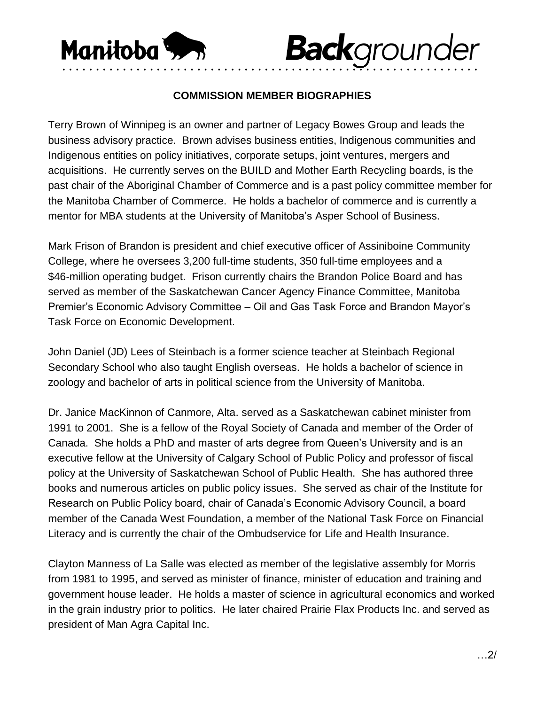

## **COMMISSION MEMBER BIOGRAPHIES**

• • • • • • • • • • • • • • • • • • • • • • • • • • • • • • • • • • • • • • • • • • • • • • • • • • • • • • • • • • • • • •

**Back**grounder

Terry Brown of Winnipeg is an owner and partner of Legacy Bowes Group and leads the business advisory practice. Brown advises business entities, Indigenous communities and Indigenous entities on policy initiatives, corporate setups, joint ventures, mergers and acquisitions. He currently serves on the BUILD and Mother Earth Recycling boards, is the past chair of the Aboriginal Chamber of Commerce and is a past policy committee member for the Manitoba Chamber of Commerce. He holds a bachelor of commerce and is currently a mentor for MBA students at the University of Manitoba's Asper School of Business.

Mark Frison of Brandon is president and chief executive officer of Assiniboine Community College, where he oversees 3,200 full-time students, 350 full-time employees and a \$46-million operating budget. Frison currently chairs the Brandon Police Board and has served as member of the Saskatchewan Cancer Agency Finance Committee, Manitoba Premier's Economic Advisory Committee – Oil and Gas Task Force and Brandon Mayor's Task Force on Economic Development.

John Daniel (JD) Lees of Steinbach is a former science teacher at Steinbach Regional Secondary School who also taught English overseas. He holds a bachelor of science in zoology and bachelor of arts in political science from the University of Manitoba.

Dr. Janice MacKinnon of Canmore, Alta. served as a Saskatchewan cabinet minister from 1991 to 2001. She is a fellow of the Royal Society of Canada and member of the Order of Canada. She holds a PhD and master of arts degree from Queen's University and is an executive fellow at the University of Calgary School of Public Policy and professor of fiscal policy at the University of Saskatchewan School of Public Health. She has authored three books and numerous articles on public policy issues. She served as chair of the Institute for Research on Public Policy board, chair of Canada's Economic Advisory Council, a board member of the Canada West Foundation, a member of the National Task Force on Financial Literacy and is currently the chair of the Ombudservice for Life and Health Insurance.

Clayton Manness of La Salle was elected as member of the legislative assembly for Morris from 1981 to 1995, and served as minister of finance, minister of education and training and government house leader. He holds a master of science in agricultural economics and worked in the grain industry prior to politics. He later chaired Prairie Flax Products Inc. and served as president of Man Agra Capital Inc.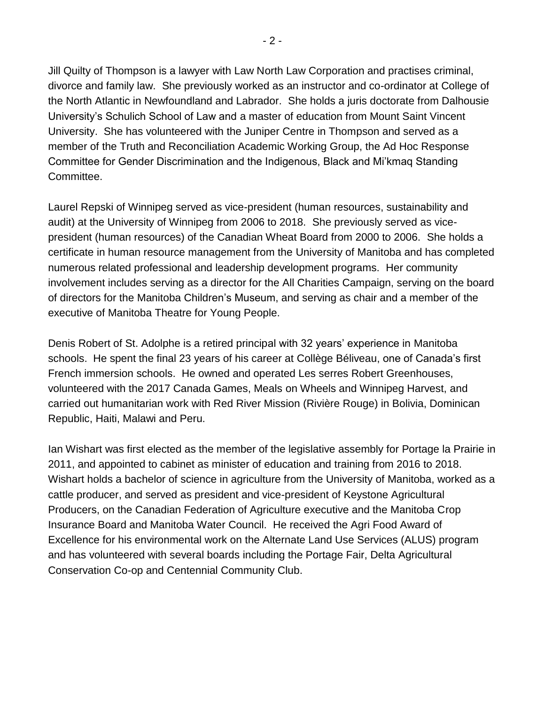Jill Quilty of Thompson is a lawyer with Law North Law Corporation and practises criminal, divorce and family law. She previously worked as an instructor and co-ordinator at College of the North Atlantic in Newfoundland and Labrador. She holds a juris doctorate from Dalhousie University's Schulich School of Law and a master of education from Mount Saint Vincent University. She has volunteered with the Juniper Centre in Thompson and served as a member of the Truth and Reconciliation Academic Working Group, the Ad Hoc Response Committee for Gender Discrimination and the Indigenous, Black and Mi'kmaq Standing Committee.

Laurel Repski of Winnipeg served as vice-president (human resources, sustainability and audit) at the University of Winnipeg from 2006 to 2018. She previously served as vicepresident (human resources) of the Canadian Wheat Board from 2000 to 2006. She holds a certificate in human resource management from the University of Manitoba and has completed numerous related professional and leadership development programs. Her community involvement includes serving as a director for the All Charities Campaign, serving on the board of directors for the Manitoba Children's Museum, and serving as chair and a member of the executive of Manitoba Theatre for Young People.

Denis Robert of St. Adolphe is a retired principal with 32 years' experience in Manitoba schools. He spent the final 23 years of his career at Collège Béliveau, one of Canada's first French immersion schools. He owned and operated Les serres Robert Greenhouses, volunteered with the 2017 Canada Games, Meals on Wheels and Winnipeg Harvest, and carried out humanitarian work with Red River Mission (Rivière Rouge) in Bolivia, Dominican Republic, Haiti, Malawi and Peru.

Ian Wishart was first elected as the member of the legislative assembly for Portage la Prairie in 2011, and appointed to cabinet as minister of education and training from 2016 to 2018. Wishart holds a bachelor of science in agriculture from the University of Manitoba, worked as a cattle producer, and served as president and vice-president of Keystone Agricultural Producers, on the Canadian Federation of Agriculture executive and the Manitoba Crop Insurance Board and Manitoba Water Council. He received the Agri Food Award of Excellence for his environmental work on the Alternate Land Use Services (ALUS) program and has volunteered with several boards including the Portage Fair, Delta Agricultural Conservation Co-op and Centennial Community Club.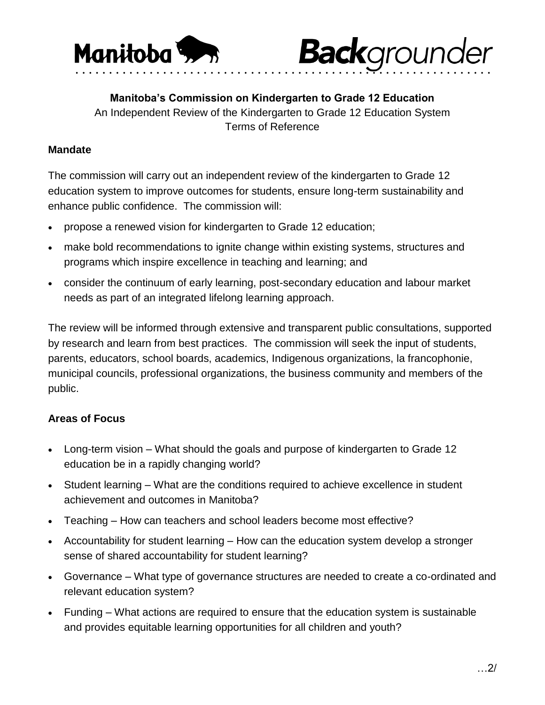



**Manitoba's Commission on Kindergarten to Grade 12 Education** An Independent Review of the Kindergarten to Grade 12 Education System Terms of Reference

## **Mandate**

The commission will carry out an independent review of the kindergarten to Grade 12 education system to improve outcomes for students, ensure long-term sustainability and enhance public confidence. The commission will:

- propose a renewed vision for kindergarten to Grade 12 education;
- make bold recommendations to ignite change within existing systems, structures and programs which inspire excellence in teaching and learning; and
- consider the continuum of early learning, post-secondary education and labour market needs as part of an integrated lifelong learning approach.

The review will be informed through extensive and transparent public consultations, supported by research and learn from best practices. The commission will seek the input of students, parents, educators, school boards, academics, Indigenous organizations, la francophonie, municipal councils, professional organizations, the business community and members of the public.

## **Areas of Focus**

- Long-term vision What should the goals and purpose of kindergarten to Grade 12 education be in a rapidly changing world?
- Student learning What are the conditions required to achieve excellence in student achievement and outcomes in Manitoba?
- Teaching How can teachers and school leaders become most effective?
- Accountability for student learning How can the education system develop a stronger sense of shared accountability for student learning?
- Governance What type of governance structures are needed to create a co-ordinated and relevant education system?
- Funding What actions are required to ensure that the education system is sustainable and provides equitable learning opportunities for all children and youth?